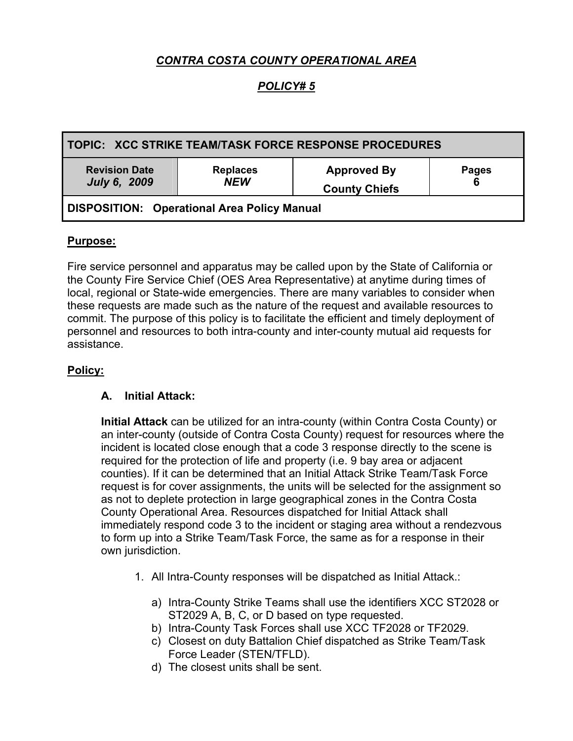# *CONTRA COSTA COUNTY OPERATIONAL AREA*

## *POLICY# 5*

| l TOPIC:   XCC STRIKE TEAM/TASK FORCE RESPONSE PROCEDURES |                               |                                            |                   |
|-----------------------------------------------------------|-------------------------------|--------------------------------------------|-------------------|
| <b>Revision Date</b><br><b>July 6, 2009</b>               | <b>Replaces</b><br><b>NEW</b> | <b>Approved By</b><br><b>County Chiefs</b> | <b>Pages</b><br>6 |
| <b>DISPOSITION: Operational Area Policy Manual</b>        |                               |                                            |                   |

#### **Purpose:**

Fire service personnel and apparatus may be called upon by the State of California or the County Fire Service Chief (OES Area Representative) at anytime during times of local, regional or State-wide emergencies. There are many variables to consider when these requests are made such as the nature of the request and available resources to commit. The purpose of this policy is to facilitate the efficient and timely deployment of personnel and resources to both intra-county and inter-county mutual aid requests for assistance.

#### **Policy:**

#### **A. Initial Attack:**

**Initial Attack** can be utilized for an intra-county (within Contra Costa County) or an inter-county (outside of Contra Costa County) request for resources where the incident is located close enough that a code 3 response directly to the scene is required for the protection of life and property (i.e. 9 bay area or adjacent counties). If it can be determined that an Initial Attack Strike Team/Task Force request is for cover assignments, the units will be selected for the assignment so as not to deplete protection in large geographical zones in the Contra Costa County Operational Area. Resources dispatched for Initial Attack shall immediately respond code 3 to the incident or staging area without a rendezvous to form up into a Strike Team/Task Force, the same as for a response in their own jurisdiction.

- 1. All Intra-County responses will be dispatched as Initial Attack.:
	- a) Intra-County Strike Teams shall use the identifiers XCC ST2028 or ST2029 A, B, C, or D based on type requested.
	- b) Intra-County Task Forces shall use XCC TF2028 or TF2029.
	- c) Closest on duty Battalion Chief dispatched as Strike Team/Task Force Leader (STEN/TFLD).
	- d) The closest units shall be sent.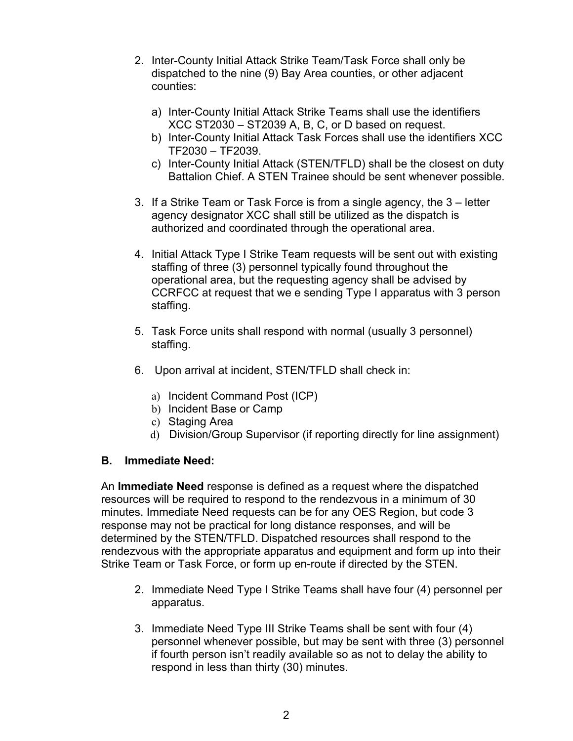- 2. Inter-County Initial Attack Strike Team/Task Force shall only be dispatched to the nine (9) Bay Area counties, or other adjacent counties:
	- a) Inter-County Initial Attack Strike Teams shall use the identifiers XCC ST2030 – ST2039 A, B, C, or D based on request.
	- b) Inter-County Initial Attack Task Forces shall use the identifiers XCC TF2030 – TF2039.
	- c) Inter-County Initial Attack (STEN/TFLD) shall be the closest on duty Battalion Chief. A STEN Trainee should be sent whenever possible.
- 3. If a Strike Team or Task Force is from a single agency, the 3 letter agency designator XCC shall still be utilized as the dispatch is authorized and coordinated through the operational area.
- 4. Initial Attack Type I Strike Team requests will be sent out with existing staffing of three (3) personnel typically found throughout the operational area, but the requesting agency shall be advised by CCRFCC at request that we e sending Type I apparatus with 3 person staffing.
- 5. Task Force units shall respond with normal (usually 3 personnel) staffing.
- 6. Upon arrival at incident, STEN/TFLD shall check in:
	- a) Incident Command Post (ICP)
	- b) Incident Base or Camp
	- c) Staging Area
	- d) Division/Group Supervisor (if reporting directly for line assignment)

## **B. Immediate Need:**

An **Immediate Need** response is defined as a request where the dispatched resources will be required to respond to the rendezvous in a minimum of 30 minutes. Immediate Need requests can be for any OES Region, but code 3 response may not be practical for long distance responses, and will be determined by the STEN/TFLD. Dispatched resources shall respond to the rendezvous with the appropriate apparatus and equipment and form up into their Strike Team or Task Force, or form up en-route if directed by the STEN.

- 2. Immediate Need Type I Strike Teams shall have four (4) personnel per apparatus.
- 3. Immediate Need Type III Strike Teams shall be sent with four (4) personnel whenever possible, but may be sent with three (3) personnel if fourth person isn't readily available so as not to delay the ability to respond in less than thirty (30) minutes.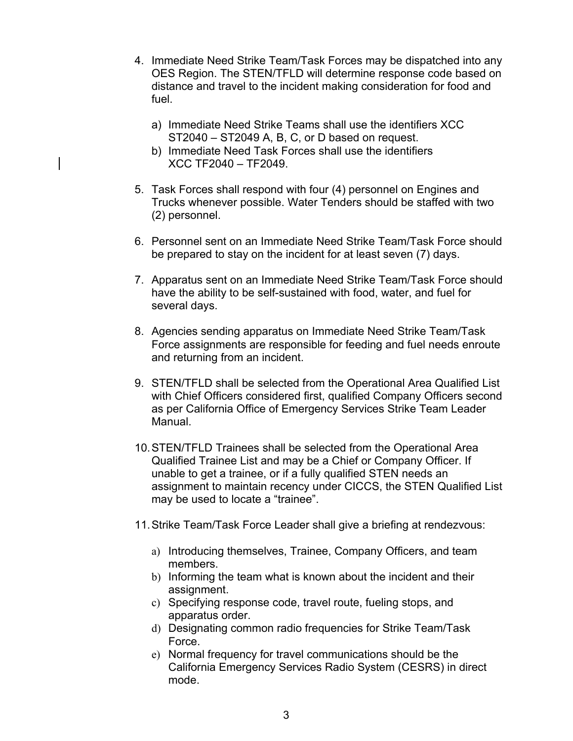- 4. Immediate Need Strike Team/Task Forces may be dispatched into any OES Region. The STEN/TFLD will determine response code based on distance and travel to the incident making consideration for food and fuel.
	- a) Immediate Need Strike Teams shall use the identifiers XCC ST2040 – ST2049 A, B, C, or D based on request.
	- b) Immediate Need Task Forces shall use the identifiers XCC TF2040 – TF2049.
- 5. Task Forces shall respond with four (4) personnel on Engines and Trucks whenever possible. Water Tenders should be staffed with two (2) personnel.
- 6. Personnel sent on an Immediate Need Strike Team/Task Force should be prepared to stay on the incident for at least seven (7) days.
- 7. Apparatus sent on an Immediate Need Strike Team/Task Force should have the ability to be self-sustained with food, water, and fuel for several days.
- 8. Agencies sending apparatus on Immediate Need Strike Team/Task Force assignments are responsible for feeding and fuel needs enroute and returning from an incident.
- 9. STEN/TFLD shall be selected from the Operational Area Qualified List with Chief Officers considered first, qualified Company Officers second as per California Office of Emergency Services Strike Team Leader Manual.
- 10. STEN/TFLD Trainees shall be selected from the Operational Area Qualified Trainee List and may be a Chief or Company Officer. If unable to get a trainee, or if a fully qualified STEN needs an assignment to maintain recency under CICCS, the STEN Qualified List may be used to locate a "trainee".
- 11. Strike Team/Task Force Leader shall give a briefing at rendezvous:
	- a) Introducing themselves, Trainee, Company Officers, and team members.
	- b) Informing the team what is known about the incident and their assignment.
	- c) Specifying response code, travel route, fueling stops, and apparatus order.
	- d) Designating common radio frequencies for Strike Team/Task Force.
	- e) Normal frequency for travel communications should be the California Emergency Services Radio System (CESRS) in direct mode.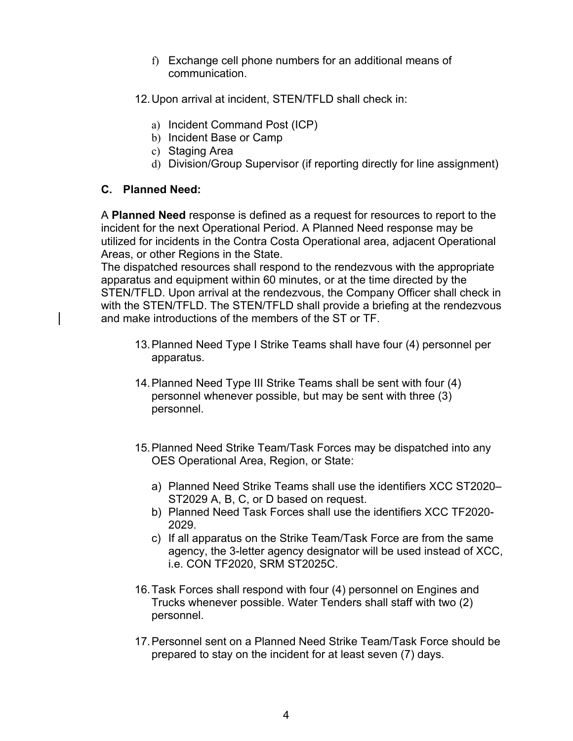- f) Exchange cell phone numbers for an additional means of communication.
- 12. Upon arrival at incident, STEN/TFLD shall check in:
	- a) Incident Command Post (ICP)
	- b) Incident Base or Camp
	- c) Staging Area
	- d) Division/Group Supervisor (if reporting directly for line assignment)

#### **C. Planned Need:**

A **Planned Need** response is defined as a request for resources to report to the incident for the next Operational Period. A Planned Need response may be utilized for incidents in the Contra Costa Operational area, adjacent Operational Areas, or other Regions in the State.

The dispatched resources shall respond to the rendezvous with the appropriate apparatus and equipment within 60 minutes, or at the time directed by the STEN/TFLD. Upon arrival at the rendezvous, the Company Officer shall check in with the STEN/TFLD. The STEN/TFLD shall provide a briefing at the rendezvous and make introductions of the members of the ST or TF.

- 13. Planned Need Type I Strike Teams shall have four (4) personnel per apparatus.
- 14. Planned Need Type III Strike Teams shall be sent with four (4) personnel whenever possible, but may be sent with three (3) personnel.
- 15. Planned Need Strike Team/Task Forces may be dispatched into any OES Operational Area, Region, or State:
	- a) Planned Need Strike Teams shall use the identifiers XCC ST2020– ST2029 A, B, C, or D based on request.
	- b) Planned Need Task Forces shall use the identifiers XCC TF2020- 2029.
	- c) If all apparatus on the Strike Team/Task Force are from the same agency, the 3-letter agency designator will be used instead of XCC, i.e. CON TF2020, SRM ST2025C.
- 16. Task Forces shall respond with four (4) personnel on Engines and Trucks whenever possible. Water Tenders shall staff with two (2) personnel.
- 17. Personnel sent on a Planned Need Strike Team/Task Force should be prepared to stay on the incident for at least seven (7) days.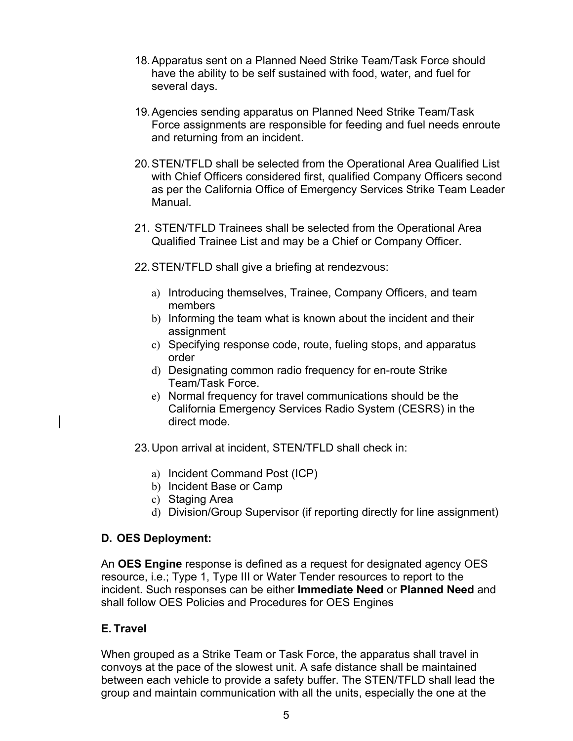- 18. Apparatus sent on a Planned Need Strike Team/Task Force should have the ability to be self sustained with food, water, and fuel for several days.
- 19. Agencies sending apparatus on Planned Need Strike Team/Task Force assignments are responsible for feeding and fuel needs enroute and returning from an incident.
- 20. STEN/TFLD shall be selected from the Operational Area Qualified List with Chief Officers considered first, qualified Company Officers second as per the California Office of Emergency Services Strike Team Leader Manual.
- 21. STEN/TFLD Trainees shall be selected from the Operational Area Qualified Trainee List and may be a Chief or Company Officer.
- 22. STEN/TFLD shall give a briefing at rendezvous:
	- a) Introducing themselves, Trainee, Company Officers, and team members
	- b) Informing the team what is known about the incident and their assignment
	- c) Specifying response code, route, fueling stops, and apparatus order
	- d) Designating common radio frequency for en-route Strike Team/Task Force.
	- e) Normal frequency for travel communications should be the California Emergency Services Radio System (CESRS) in the direct mode.
- 23. Upon arrival at incident, STEN/TFLD shall check in:
	- a) Incident Command Post (ICP)
	- b) Incident Base or Camp
	- c) Staging Area
	- d) Division/Group Supervisor (if reporting directly for line assignment)

## **D. OES Deployment:**

An **OES Engine** response is defined as a request for designated agency OES resource, i.e.; Type 1, Type III or Water Tender resources to report to the incident. Such responses can be either **Immediate Need** or **Planned Need** and shall follow OES Policies and Procedures for OES Engines

## **E. Travel**

When grouped as a Strike Team or Task Force, the apparatus shall travel in convoys at the pace of the slowest unit. A safe distance shall be maintained between each vehicle to provide a safety buffer. The STEN/TFLD shall lead the group and maintain communication with all the units, especially the one at the